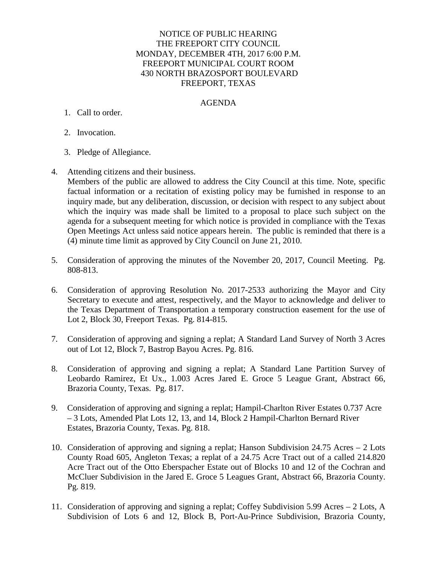## NOTICE OF PUBLIC HEARING THE FREEPORT CITY COUNCIL MONDAY, DECEMBER 4TH, 2017 6:00 P.M. FREEPORT MUNICIPAL COURT ROOM 430 NORTH BRAZOSPORT BOULEVARD FREEPORT, TEXAS

### AGENDA

### 1. Call to order.

- 2. Invocation.
- 3. Pledge of Allegiance.
- 4. Attending citizens and their business.

Members of the public are allowed to address the City Council at this time. Note, specific factual information or a recitation of existing policy may be furnished in response to an inquiry made, but any deliberation, discussion, or decision with respect to any subject about which the inquiry was made shall be limited to a proposal to place such subject on the agenda for a subsequent meeting for which notice is provided in compliance with the Texas Open Meetings Act unless said notice appears herein. The public is reminded that there is a (4) minute time limit as approved by City Council on June 21, 2010.

- 5. Consideration of approving the minutes of the November 20, 2017, Council Meeting. Pg. 808-813.
- 6. Consideration of approving Resolution No. 2017-2533 authorizing the Mayor and City Secretary to execute and attest, respectively, and the Mayor to acknowledge and deliver to the Texas Department of Transportation a temporary construction easement for the use of Lot 2, Block 30, Freeport Texas. Pg. 814-815.
- 7. Consideration of approving and signing a replat; A Standard Land Survey of North 3 Acres out of Lot 12, Block 7, Bastrop Bayou Acres. Pg. 816.
- 8. Consideration of approving and signing a replat; A Standard Lane Partition Survey of Leobardo Ramirez, Et Ux., 1.003 Acres Jared E. Groce 5 League Grant, Abstract 66, Brazoria County, Texas. Pg. 817.
- 9. Consideration of approving and signing a replat; Hampil-Charlton River Estates 0.737 Acre – 3 Lots, Amended Plat Lots 12, 13, and 14, Block 2 Hampil-Charlton Bernard River Estates, Brazoria County, Texas. Pg. 818.
- 10. Consideration of approving and signing a replat; Hanson Subdivision 24.75 Acres 2 Lots County Road 605, Angleton Texas; a replat of a 24.75 Acre Tract out of a called 214.820 Acre Tract out of the Otto Eberspacher Estate out of Blocks 10 and 12 of the Cochran and McCluer Subdivision in the Jared E. Groce 5 Leagues Grant, Abstract 66, Brazoria County. Pg. 819.
- 11. Consideration of approving and signing a replat; Coffey Subdivision 5.99 Acres 2 Lots, A Subdivision of Lots 6 and 12, Block B, Port-Au-Prince Subdivision, Brazoria County,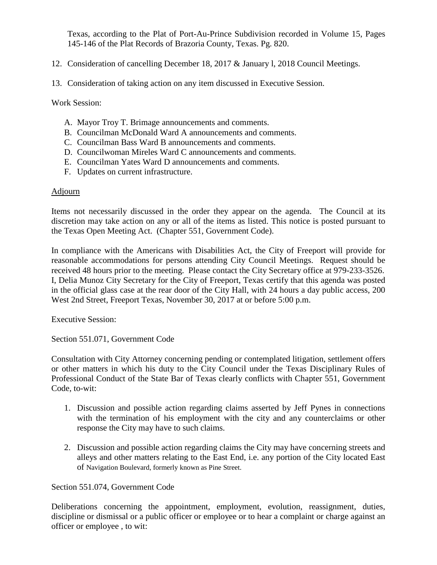Texas, according to the Plat of Port-Au-Prince Subdivision recorded in Volume 15, Pages 145-146 of the Plat Records of Brazoria County, Texas. Pg. 820.

# 12. Consideration of cancelling December 18, 2017 & January l, 2018 Council Meetings.

13. Consideration of taking action on any item discussed in Executive Session.

Work Session:

- A. Mayor Troy T. Brimage announcements and comments.
- B. Councilman McDonald Ward A announcements and comments.
- C. Councilman Bass Ward B announcements and comments.
- D. Councilwoman Mireles Ward C announcements and comments.
- E. Councilman Yates Ward D announcements and comments.
- F. Updates on current infrastructure.

#### Adjourn

Items not necessarily discussed in the order they appear on the agenda. The Council at its discretion may take action on any or all of the items as listed. This notice is posted pursuant to the Texas Open Meeting Act. (Chapter 551, Government Code).

In compliance with the Americans with Disabilities Act, the City of Freeport will provide for reasonable accommodations for persons attending City Council Meetings. Request should be received 48 hours prior to the meeting. Please contact the City Secretary office at 979-233-3526. I, Delia Munoz City Secretary for the City of Freeport, Texas certify that this agenda was posted in the official glass case at the rear door of the City Hall, with 24 hours a day public access, 200 West 2nd Street, Freeport Texas, November 30, 2017 at or before 5:00 p.m.

Executive Session:

Section 551.071, Government Code

Consultation with City Attorney concerning pending or contemplated litigation, settlement offers or other matters in which his duty to the City Council under the Texas Disciplinary Rules of Professional Conduct of the State Bar of Texas clearly conflicts with Chapter 551, Government Code, to-wit:

- 1. Discussion and possible action regarding claims asserted by Jeff Pynes in connections with the termination of his employment with the city and any counterclaims or other response the City may have to such claims.
- 2. Discussion and possible action regarding claims the City may have concerning streets and alleys and other matters relating to the East End, i.e. any portion of the City located East of Navigation Boulevard, formerly known as Pine Street.

Section 551.074, Government Code

Deliberations concerning the appointment, employment, evolution, reassignment, duties, discipline or dismissal or a public officer or employee or to hear a complaint or charge against an officer or employee , to wit: